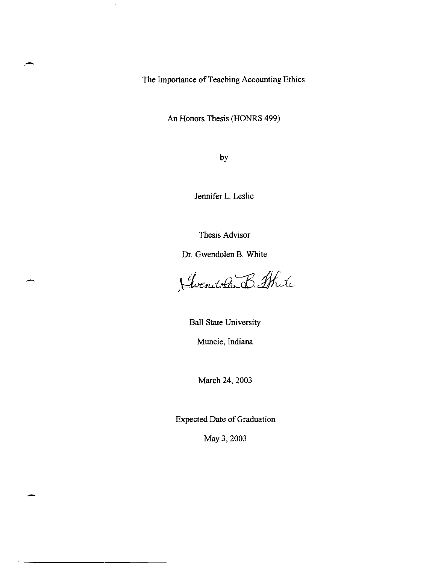The Importance of Teaching Accounting Ethics

 $\cdot$ 

An Honors Thesis (HONRS 499)

by

Jennifer L. Leslie

Thesis Advisor

Dr. Gwendolen B. White

-

-

Gendolen B. Strite

Ball State University

Muncie, Indiana

March 24, 2003

Expected Date of Graduation

May 3, 2003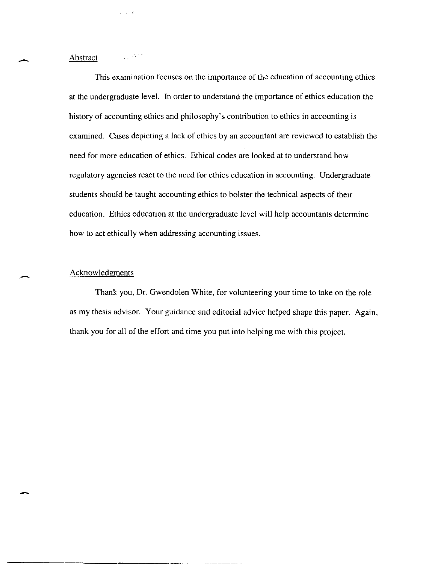#### Abstract

 $\omega(t,\cdot)$  ,  $\sigma$ 

-

-

-

This examination focuses on the importance of the education of accounting ethics at the undergraduate level. **In** order to understand the importance of ethics education the history of accounting ethics and philosophy's contribution to ethics in accounting is examined. Cases depicting a lack of ethics by an accountant are reviewed to establish the need for more education of ethics. Ethical codes are looked at to understand how regulatory agencies react to the need for ethics education in accounting. Undergraduate students should be taught accounting ethics to bolster the technical aspects of their education. Ethics education at the undergraduate level will help accountants determine how to act ethically when addressing accounting issues.

### Acknowledgments

Thank you, Dr. Gwendolen White, for volunteering your time to take on the role as my thesis advisor. Your guidance and editorial advice helped shape this paper. Again, thank you for all of the effort and time you put into helping me with this project.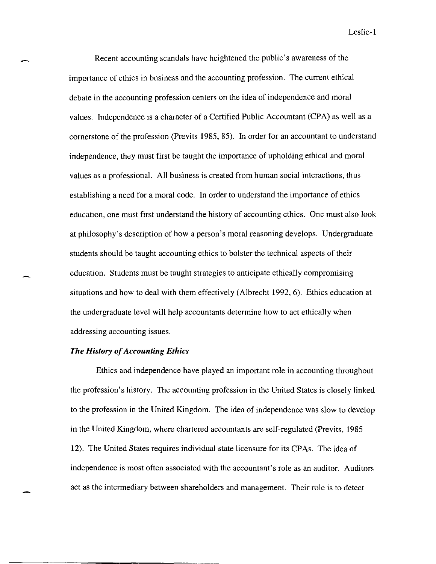Recent accounting scandals have heightened the public's awareness of the importance of ethics in business and the accounting profession. The current ethical debate in the accounting profession centers on the idea of independence and moral values. Independence is a character of a Certified Public Accountant (CPA) as well as a cornerstone of the profession (Previts 1985, 85). **In** order for an accountant to understand independence, they must first be taught the importance of upholding ethical and moral values as a professional. All business is created from human social interactions, thus establishing a need for a moral code. **In** order to understand the importance of ethics education, one must first understand the history of accounting ethics. One must also look at philosophy's description of how a person's moral reasoning develops. Undergraduate students should be taught accounting ethics to bolster the technical aspects of their education. Students must be taught strategies to anticipate ethically compromising situations and how to deal with them effectively (Albrecht 1992,6). Ethics education at the undergraduate level will help accountants determine how to act ethically when addressing accounting issues.

### *The History of Accounting Ethics*

Ethics and independence have played an important role in accounting throughout the profession's history. The accounting profession in the United States is closely linked to the profession in the United Kingdom. The idea of independence was slow to develop in the United Kingdom, where chartered accountants are self-regulated (Previts, 1985 12). The United States requires individual state licensure for its CPAs. The idea of independence is most often associated with the accountant's role as an auditor. Auditors act as the intermediary between shareholders and management. Their role is to detect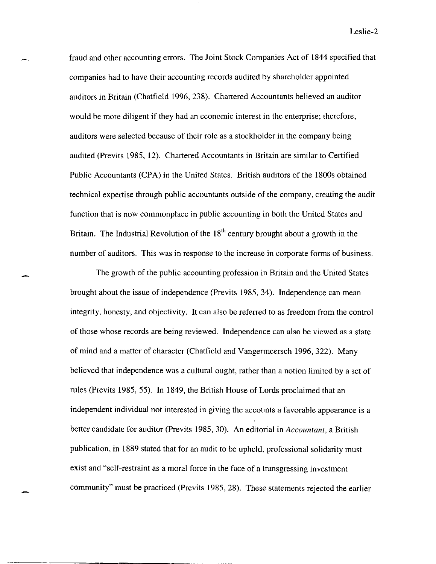fraud and other accounting errors. The Joint Stock Companies Act of 1844 specified that companies had to have their accounting records audited by shareholder appointed auditors in Britain (Chatfield 1996, 238). Chartered Accountants believed an auditor would be more diligent if they had an economic interest in the enterprise; therefore, auditors were selected because of their role as a stockholder in the company being audited (Previts 1985, 12). Chartered Accountants in Britain are similar to Certified Public Accountants (CPA) in the United States. British auditors of the 1800s obtained technical expertise through public accountants outside of the company, creating the audit function that is now commonplace in public accounting in both the United States and Britain. The Industrial Revolution of the  $18<sup>th</sup>$  century brought about a growth in the number of auditors. This was in response to the increase in corporate forms of business.

The growth of the public accounting profession in Britain and the United States brought about the issue of independence (Previts 1985,34). Independence can mean integrity, honesty, and objectivity. It can also be referred to as freedom from the control of those whose records are being reviewed. Independence can also be viewed as a state of mind and a matter of character (Chatfield and Vangermeersch 1996,322). Many believed that independence was a cultural ought, rather than a notion limited by a set of rules (Previts 1985, 55). **In** 1849, the British House of Lords proclaimed that an independent individual not interested in giving the accounts a favorable appearance is a better candidate for auditor (Previts 1985, 30). An editorial in *Accountant,* a British publication, in 1889 stated that for an audit to be upheld, professional solidarity must exist and "self-restraint as a moral force in the face of a transgressing investment community" must be practiced (Previts 1985, 28). These statements rejected the earlier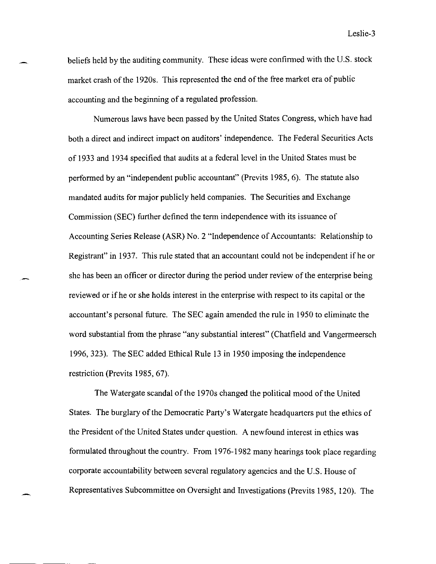beliefs held by the auditing community. These ideas were confirmed with the U.S. stock market crash of the 1920s. This represented the end of the free market era of public accounting and the beginning of a regulated profession.

Numerous laws have been passed by the United States Congress, which have had both a direct and indirect impact on auditors' independence. The Federal Securities Acts of 1933 and 1934 specified that audits at a federal level in the United States must be performed by an "independent public accountant" (Previts 1985, 6). The statute also mandated audits for major publicly held companies. The Securities and Exchange Commission (SEC) further defined the term independence with its issuance of Accounting Series Release (ASR) No.2 "Independence of Accountants: Relationship to Registrant" in 1937. This rule stated that an accountant could not be independent if he or she has been an officer or director during the period under review of the enterprise being reviewed or ifhe or she holds interest in the enterprise with respect to its capital or the accountant's personal future. The SEC again amended the rule in 1950 to eliminate the word substantial from the phrase "any substantial interest" (Chatfield and Vangermeersch 1996,323). The SEC added Ethical Rule 13 in 1950 imposing the independence restriction (Previts 1985, 67).

The Watergate scandal of the 1970s changed the political mood of the United States. The burglary of the Democratic Party's Watergate headquarters put the ethics of the President of the United States under question. A newfound interest in ethics was formulated throughout the country. From 1976-1982 many hearings took place regarding corporate accountability between several regulatory agencies and the U.S. House of Representatives Subcommittee on Oversight and Investigations (Previts 1985, 120). The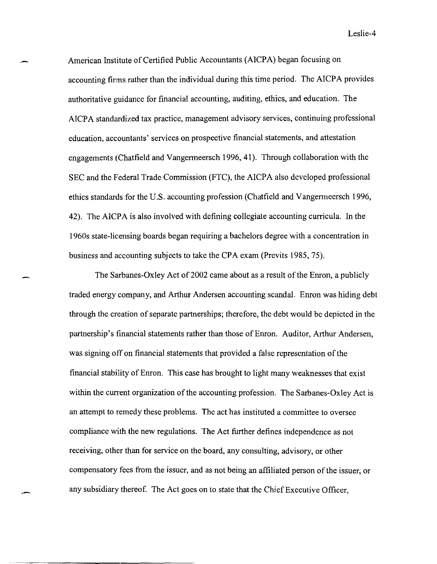American Institute of Certified Public Accountants (AICPA) began focusing on accounting firms rather than the individual during this time period. The AICPA provides authoritative guidance for financial accounting, auditing, ethics, and education. The AICPA standardized tax practice, management advisory services, continuing professional education, accountants' services on prospective financial statements, and attestation engagements (Chatfield and Vangermeersch 1996, 41). Through collaboration with the SEC and the Federal Trade Commission (FTC), the AICPA also developed professional ethics standards for the U.S. accounting profession (Chatfield and Vangermeersch 1996, 42). The AICPA is also involved with defining collegiate accounting curricula. In the 1960s state-licensing boards began requiring a bachelors degree with a concentration in business and accounting subjects to take the CPA exam (Previts 1985,75).

The Sarbanes-Oxley Act of 2002 came about as a result of the Enron, a publicly traded energy company, and Arthur Andersen accounting scandal. Enron was hiding debt through the creation of separate partnerships; therefore, the debt would be depicted in the partnership's financial statements rather than those of Enron. Auditor, Arthur Andersen, was signing off on financial statements that provided a false representation of the financial stability of Emon. This case has brought to light many weaknesses that exist within the current organization of the accounting profession. The Sarbanes-Oxley Act is an attempt to remedy these problems. The act has instituted a committee to oversee compliance with the new regulations. The Act further defines independence as not receiving, other than for service on the board, any consulting, advisory, or other compensatory fees from the issuer, and as not being an affiliated person of the issuer, or any subsidiary thereof. The Act goes on to state that the Chief Executive Officer,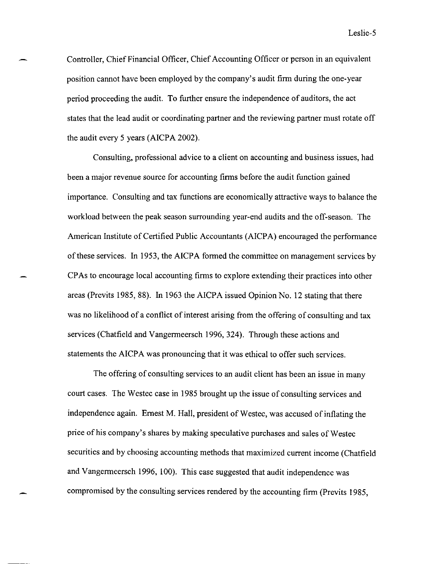Controller, Chief Financial Officer, Chief Accounting Officer or person in an equivalent position cannot have been employed by the company's audit firm during the one-year period proceeding the audit. To further ensure the independence of auditors, the act states that the lead audit or coordinating partner and the reviewing partner must rotate off the audit every 5 years (AICPA 2002).

Consulting, professional advice to a client on accounting and business issues, had been a major revenue source for accounting firms before the audit function gained importance. Consulting and tax functions are economically attractive ways to balance the workload between the peak season surrounding year-end audits and the off-season. The American Institute of Certified Public Accountants (AICPA) encouraged the performance of these services. In 1953, the AICPA formed the committee on management services by CPAs to encourage local accounting firms to explore extending their practices into other areas (Previts 1985, 88). In 1963 the AICPA issued Opinion No. 12 stating that there was no likelihood of a conflict of interest arising from the offering of consulting and tax services (Chatfield and Vangermeersch 1996, 324). Through these actions and statements the AICPA was pronouncing that it was ethical to offer such services.

The offering of consulting services to an audit client has been an issue in many court cases. The Westec case in 1985 brought up the issue of consulting services and independence again. Ernest M. Hall, president of Westec, was accused of inflating the price of his company's shares by making speculative purchases and sales ofWestec securities and by choosing accounting methods that maximized current income (Chatfield and Vangermeersch 1996, 100). This case suggested that audit independence was compromised by the consulting services rendered by the accounting firm (Previts 1985,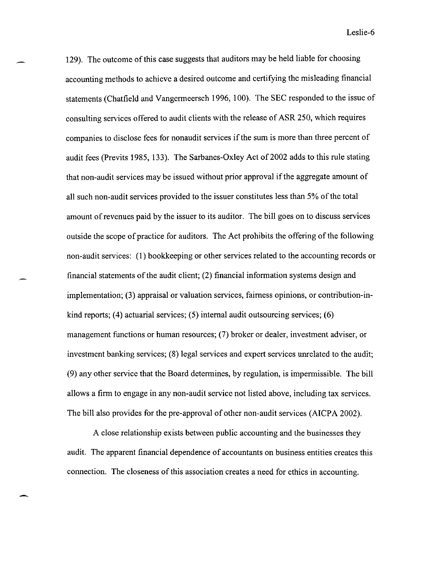129). The outcome of this case suggests that auditors may be held liable for choosing accounting methods to achieve a desired outcome and certifying the misleading financial statements (Chatfield and Vangermeersch 1996, 100). The SEC responded to the issue of consulting services offered to audit clients with the release of ASR 250, which requires companies to disclose fees for nonaudit services if the sum is more than three percent of audit fees (Previts 1985, 133). The Sarbanes-Oxley Act of 2002 adds to this rule stating that non-audit services may be issued without prior approval if the aggregate amount of all such non-audit services provided to the issuer constitutes less than 5% of the total amount of revenues paid by the issuer to its auditor. The bill goes on to discuss services outside the scope of practice for auditors. The Act prohibits the offering of the following non-audit services: (l) bookkeeping or other services related to the accounting records or financial statements of the audit client; (2) financial information systems design and implementation; (3) appraisal or valuation services, fairness opinions, or contribution-inkind reports; (4) actuarial services; (5) internal audit outsourcing services; (6) management fllnctions or human resources; (7) broker or dealer, investment adviser, or investment banking services; (8) legal services and expert services unrelated to the audit; (9) any other service that the Board determines, by regulation, is impermissible. The bill allows a firm to engage in any non-audit service not listed above, including tax services. The bill also provides for the pre-approval of other non-audit services (AICPA 2002).

A close relationship exists between public accounting and the businesses they audit. The apparent financial dependence of accountants on business entities creates this connection. The closeness of this association creates a need for ethics in accounting.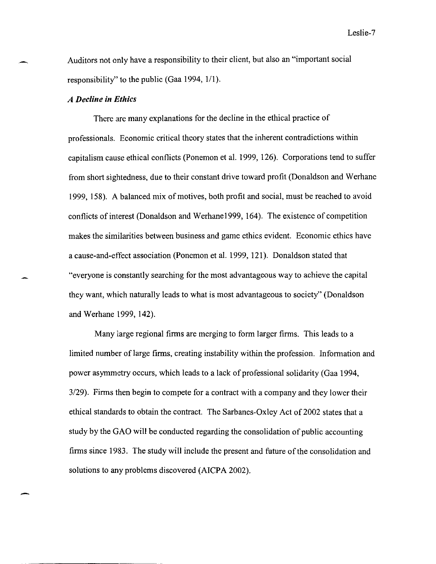Auditors not only have a responsibility to their client, but also an "important social responsibility" to the public (Gaa 1994, 1/1).

### *A Decline in Ethics*

There are many explanations for the decline in the ethical practice of professionals. Economic critical theory states that the inherent contradictions within capitalism cause ethical conflicts (Ponemon et al. 1999, 126). Corporations tend to suffer from short sightedness, due to their constant drive toward profit (Donaldson and Werhane 1999, 158). A balanced mix of motives, both profit and social, must be reached to avoid conflicts of interest (Donaldson and Werhane 1999, 164). The existence of competition makes the similarities between business and game ethics evident. Economic ethics have a cause-and-effect association (Ponemon et al. 1999, 121). Donaldson stated that "everyone is constantly searching for the most advantageous way to achieve the capital they want, which naturally leads to what is most advantageous to society" (Donaldson and Werhane 1999, 142).

Many large regional firms are merging to form larger firms. This leads to a limited number oflarge firms, creating instability within the profession. Information and power asymmetry occurs, which leads to a lack of professional solidarity (Gaa 1994, *3/29).* Firms then begin to compete for a contract with a company and they lower their ethical standards to obtain the contract. The Sarbanes-Oxley Act of 2002 states that a study by the GAO will be conducted regarding the consolidation of public accounting firms since 1983. The study will include the present and future of the consolidation and solutions to any problems discovered (AICPA 2002).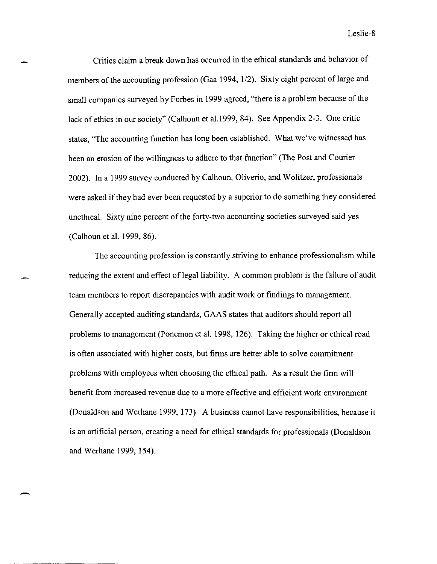Critics claim a break down has occurred in the ethical standards and behavior of members of the accounting profession (Gaa 1994, 1/2). Sixty eight percent of large and small companies surveyed by Forbes in 1999 agreed, "there is a problem because of the lack of ethics in our society" (Calhoun et a1.l999, 84). See Appendix 2-3. One critic states, "The accounting function has long been established. What we've witnessed has been an erosion of the willingness to adhere to that function" (The Post and Courier 2002). **In** a 1999 survey conducted by Calhoun, Oliverio, and Wolitzer, professionals were asked if they had ever been requested by a superior to do something they considered unethical. Sixty nine percent of the forty-two accounting societies surveyed said yes (Calhoun et al. 1999,86).

The accounting profession is constantly striving to enhance professionalism while reducing the extent and effect of legal liability. A common problem is the failure of audit team members to report discrepancies with audit work or findings to management. Generally accepted auditing standards, GAAS states that auditors should report all problems to management (Ponemon et al. 1998, 126). Taking the higher or ethical road is often associated with higher costs, but firms are better able to solve commitment problems with employees when choosing the ethical path. As a result the firm will benefit from increased revenue due to a more effective and efficient work environment (Donaldson and Werhane 1999, 173). A business cannot have responsibilities, because it is an artificial person, creating a need for ethical standards for professionals (Donaldson and Werhane 1999, 154).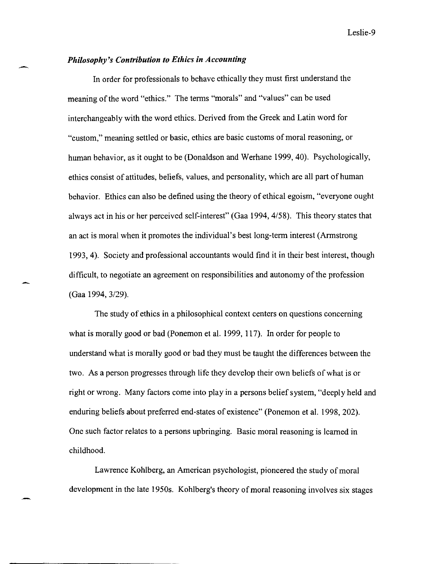## *Philosophy's Contribution to Ethics in Accounting*

In order for professionals to behave ethically they must first understand the meaning of the word "ethics." The terms "morals" and "values" can be used interchangeably with the word ethics. Derived from the Greek and Latin word for "custom," meaning settled or basic, ethics are basic customs of moral reasoning, or human behavior, as it ought to be (Donaldson and Werhane 1999,40). Psychologically, ethics consist of attitudes, beliefs, values, and personality, which are all part of human behavior. Ethics can also be defined using the theory of ethical egoism, "everyone ought always act in his or her perceived self-interest" (Gaa 1994,4/58). This theory states that an act is moral when it promotes the individual's best long-term interest (Armstrong 1993,4). Society and professional accountants would find it in their best interest, though difficult, to negotiate an agreement on responsibilities and autonomy of the profession (Gaa 1994, 3/29).

The study of ethics in a philosophical context centers on questions concerning what is morally good or bad (Ponemon et al. 1999, 117). In order for people to understand what is morally good or bad they must be taught the differences between the two. As a person progresses through life they develop their own beliefs of what is or right or wrong. Many factors come into play in a persons belief system, "deeply held and enduring beliefs about preferred end-states of existence" (Ponemon et al. 1998, 202). One such factor relates to a persons upbringing. Basic moral reasoning is learned in childhood.

Lawrence Kohlberg, an American psychologist, pioneered the study of moral development in the late 1950s. Kohlberg's theory of moral reasoning involves six stages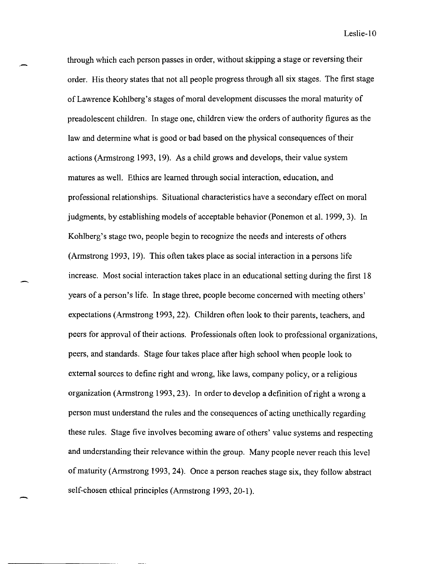through which each person passes in order, without skipping a stage or reversing their order. His theory states that not all people progress through all six stages. The first stage of Lawrence Kohlberg's stages of moral development discusses the moral maturity of preadolescent children. In stage one, children view the orders of authority figures as the law and determine what is good or bad based on the physical consequences of their actions (Armstrong 1993, 19). As a child grows and develops, their value system matures as well. Ethics are learned through social interaction, education, and professional relationships. Situational characteristics have a secondary effect on moral judgments, by establishing models of acceptable behavior (Ponemon et al. 1999,3). In Kohlberg's stage two, people begin to recognize the needs and interests of others (Armstrong 1993, 19). This often takes place as social interaction in a persons life increase. Most social interaction takes place in an educational setting during the first 18 years of a person's life. In stage three, people become concerned with meeting others' expectations (Armstrong 1993, 22). Children often look to their parents, teachers, and peers for approval of their actions. Professionals often look to professional organizations, peers, and standards. Stage four takes place after high school when people look to external sources to define right and wrong, like laws, company policy, or a religious organization (Armstrong 1993, 23). In order to develop a definition of right a wrong a person must understand the rules and the consequences of acting unethically regarding these rules. Stage five involves becoming aware of others' value systems and respecting and understanding their relevance within the group. Many people never reach this level of maturity (Armstrong 1993,24). Once a person reaches stage six, they follow abstract self-chosen ethical principles (Armstrong 1993, 20-1).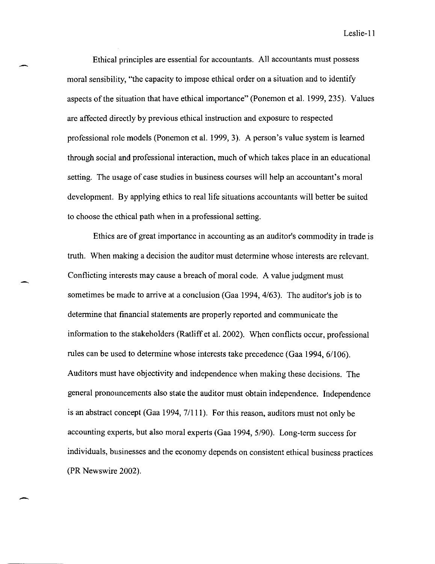Leslie-II

Ethical principles are essential for accountants. All accountants must possess moral sensibility, "the capacity to impose ethical order on a situation and to identify aspects of the situation that have ethical importance" (Ponemon et al. 1999,235). Values are affected directly by previous ethical instruction and exposure to respected professional role models (Ponemon et al. 1999,3). A person's value system is learned through social and professional interaction, much of which takes place in an educational setting. The usage of case studies in business courses will help an accountant's moral development. By applying ethics to real life situations accountants will better be suited to choose the ethical path when in a professional setting.

Ethics are of great importance in accounting as an auditor's commodity in trade is truth. When making a decision the auditor must determine whose interests are relevant. Conflicting interests may cause a breach of moral code. A value judgment must sometimes be made to arrive at a conclusion (Gaa 1994, 4/63). The auditor's job is to determine that financial statements are properly reported and communicate the information to the stakeholders (Ratliff et al. 2002). When conflicts occur, professional rules can be used to determine whose interests take precedence (Gaa 1994, 6/106). Auditors must have objectivity and independence when making these decisions. The general pronouncements also state the auditor must obtain independence. Independence is an abstract concept (Gaa 1994, 7/111). For this reason, auditors must not only be accounting experts, but also moral experts (Gaa 1994, 5/90). Long-term success for individuals, businesses and the economy depends on consistent ethical business practices (PR Newswire 2002).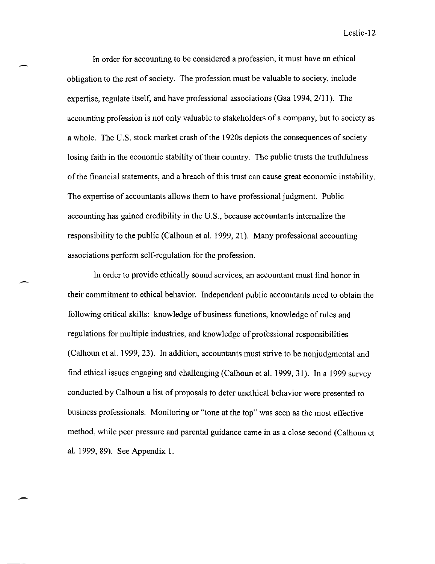In order for accounting to be considered a profession, it must have an ethical obligation to the rest of society. The profession must be valuable to society, include expertise, regulate itself, and have professional associations (Gaa 1994, 2/11). The accounting profession is not only valuable to stakeholders of a company, but to society as a whole. The U.S. stock market crash of the 1920s depicts the consequences of society losing faith in the economic stability of their country. The public trusts the truthfulness ofthe financial statements, and a breach of this trust can cause great economic instability. The expertise of accountants allows them to have professional judgment. Public accounting has gained credibility in the U.S., because accountants internalize the responsibility to the public (Calhoun et al. 1999,21). Many professional accounting associations perform self-regulation for the profession.

In order to provide ethically sound services, an accountant must find honor in their commitment to ethical behavior. Independent public accountants need to obtain the following critical skills: knowledge of business functions, knowledge of rules and regulations for multiple industries, and knowledge of professional responsibilities (Calhoun et al. 1999,23). In addition, accountants must strive to be nonjudgmental and find ethical issues engaging and challenging (Calhoun et al. 1999,31). In a 1999 survey conducted by Calhoun a list of proposals to deter unethical behavior were presented to business professionals. Monitoring or "tone at the top" was seen as the most effective method, while peer pressure and parental guidance came in as a close second (Calhoun et al. 1999,89). See Appendix 1.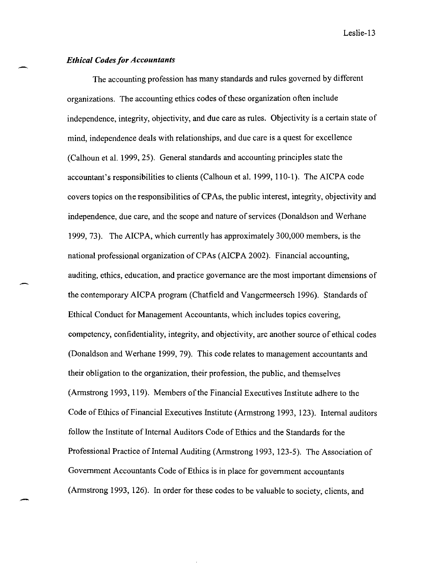## *Ethical Codes for Accountants*

The accounting profession has many standards and rules governed by different organizations. The accounting ethics codes of these organization often include independence, integrity, objectivity, and due care as rules. Objectivity is a certain state of mind, independence deals with relationships, and due care is a quest for excellence (Calhoun et al. 1999, 25). General standards and accounting principles state the accountant's responsibilities to clients (Calhoun et al. 1999, 110-1). The AICPA code covers topics on the responsibilities of CP As, the public interest, integrity, objectivity and independence, due care, and the scope and nature of services (Donaldson and Werhane 1999,73). The AICPA, which currently has approximately 300,000 members, is the national professional organization of CPAs (AICPA 2002). Financial accounting, auditing, ethics, education, and practice governance are the most important dimensions of the contemporary AICP A program (Chatfield and Vangermeersch 1996). Standards of Ethical Conduct for Management Accountants, which includes topics covering, competency, confidentiality, integrity, and objectivity, are another source of ethical codes (Donaldson and Werhane 1999, 79). This code relates to management accountants and their obligation to the organization, their profession, the public, and themselves (Armstrong 1993, 119). Members of the Financial Executives Institute adhere to the Code of Ethics of Financial Executives Institute (Armstrong 1993, 123). Internal auditors follow the Institute of Internal Auditors Code of Ethics and the Standards for the Professional Practice of Internal Auditing (Armstrong 1993, 123-5). The Association of Government Accountants Code of Ethics is in place for government accountants (Armstrong 1993, 126). In order for these codes to be valuable to society, clients, and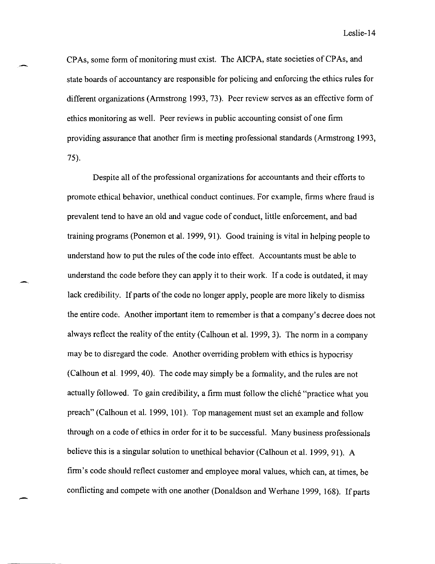CPAs, some form of monitoring must exist. The AICPA, state societies of CPAs, and state boards of accountancy are responsible for policing and enforcing the ethics rules for different organizations (Armstrong 1993,73). Peer review serves as an effective form of ethics monitoring as well. Peer reviews in public accounting consist of one firm providing assurance that another firm is meeting professional standards (Armstrong 1993, 75).

Despite all of the professional organizations for accountants and their efforts to promote ethical behavior, unethical conduct continues. For example, firms where fraud is prevalent tend to have an old and vague code of conduct, little enforcement, and bad training programs (Ponemon et al. 1999,91). Good training is vital in helping people to understand how to put the rules of the code into effect. Accountants must be able to understand the code before they can apply it to their work. If a code is outdated, it may lack credibility. If parts of the code no longer apply, people are more likely to dismiss the entire code. Another important item to remember is that a company's decree does not always reflect the reality of the entity (Calhoun et al. 1999,3). The norm in a company may be to disregard the code. Another overriding problem with ethics is hypocrisy (Calhoun et aL 1999, 40). The code may simply be a formality, and the rules are not actually followed. To gain credibility, a firm must follow the cliche "practice what you preach" (Calhoun et al. 1999, 101). Top management must set an example and follow through on a code of ethics in order for it to be successful. Many business professionals believe this is a singular solution to unethical behavior (Calhoun et al. 1999, 91). A firm's code should reflect customer and employee moral values, which can, at times, be conflicting and compete with one another (Donaldson and Werhane 1999, 168). If parts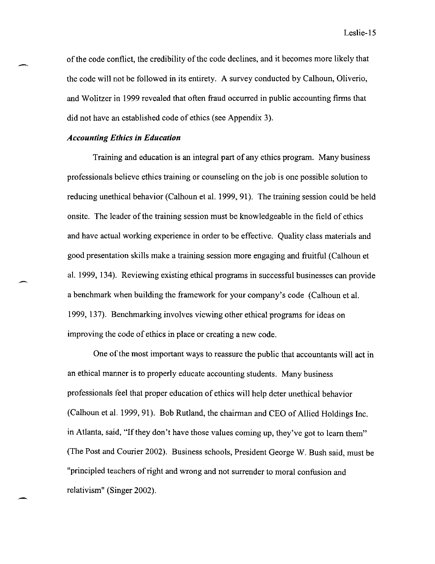of the code conflict, the credibility of the code declines, and it becomes more likely that the code will not be followed in its entirety. A survey conducted by Calhoun, Oliverio, and Wolitzer in 1999 revealed that often fraud occurred in public accounting firms that did not have an established code of ethics (see Appendix 3).

## *Accounting Ethics in Education*

-

Training and education is an integral part of any ethics program. Many business professionals believe ethics training or counseling on the job is one possible solution to reducing unethical behavior (Calhoun et al. 1999,91). The training session could be held onsite. The leader of the training session must be knowledgeable in the field of ethics and have actual working experience in order to be effective. Quality class materials and good presentation skills make a training session more engaging and fruitful (Calhoun et al. 1999, 134). Reviewing existing ethical programs in successful businesses can provide a benchmark when building the framework for your company's code (Calhoun et al. 1999, 137). Benchmarking involves viewing other ethical programs for ideas on improving the code of ethics in place or creating a new code.

One of the most important ways to reassure the public that accountants will act in an ethical manner is to properly educate accounting students. Many business professionals feel that proper education of ethics will help deter unethical behavior (Calhoun et al. 1999,91). Bob Rutland, the chairman and CEO of Allied Holdings Inc. in Atlanta, said, "If they don't have those values coming up, they've got to learn them" (The Post and Courier 2002). Business schools, President George W. Bush said, must be "principled teachers of right and wrong and not surrender to moral confusion and relativism" (Singer 2002).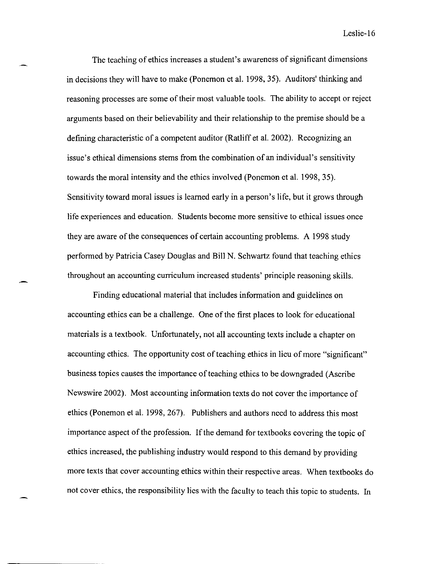The teaching of ethics increases a student's awareness of significant dimensions in decisions they will have to make (Ponemon et al. 1998, 35). Auditors' thinking and reasoning processes are some of their most valuable tools. The ability to accept or reject arguments based on their believability and their relationship to the premise should be a defining characteristic of a competent auditor (Ratliff et al. 2002). Recognizing an issue's ethical dimensions stems from the combination of an individual's sensitivity towards the moral intensity and the ethics involved (Ponemon et al. 1998,35). Sensitivity toward moral issues is learned early in a person's life, but it grows through life experiences and education. Students become more sensitive to ethical issues once they are aware of the consequences of certain accounting problems. A 1998 study performed by Patricia Casey Douglas and Bill N. Schwartz found that teaching ethics throughout an accounting curriculum increased students' principle reasoning skills.

Finding educational material that includes information and guidelines on accounting ethics can be a challenge. One of the first places to look for educational materials is a textbook. Unfortunately, not all accounting texts include a chapter on accounting ethics. The opportunity cost of teaching ethics in lieu of more "significant" business topics causes the importance of teaching ethics to be downgraded (Ascribe Newswire 2002). Most accounting information texts do not cover the importance of ethics (Ponemon et al. 1998, 267). Publishers and authors need to address this most importance aspect of the profession. If the demand for textbooks covering the topic of ethics increased, the publishing industry would respond to this demand by providing more texts that cover accounting ethics within their respective areas. When textbooks do not cover ethics, the responsibility lies with the faculty to teach this topic to students. In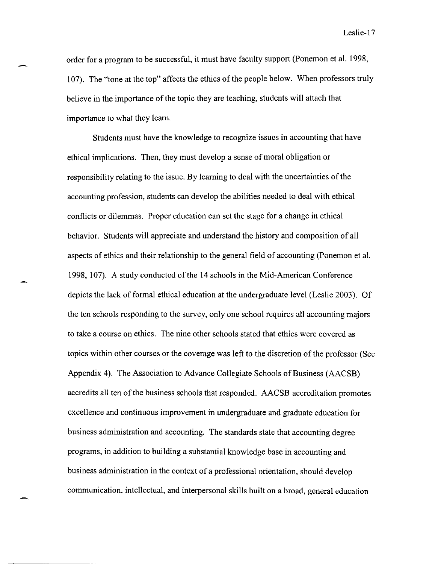order for a program to be successful, it must have faculty support (Ponemon et al. 1998, 107). The "tone at the top" affects the ethics of the people below. When professors truly believe in the importance of the topic they are teaching, students will attach that importance to what they learn.

Students must have the knowledge to recognize issues in accounting that have ethical implications. Then, they must develop a sense of moral obligation or responsibility relating to the issue. By learning to deal with the uncertainties of the accounting profession, students can develop the abilities needed to deal with ethical conflicts or dilemmas. Proper education can set the stage for a change in ethical behavior. Students will appreciate and understand the history and composition of all aspects of ethics and their relationship to the general field of accounting (Ponemon et al. 1998, 107). A study conducted of the **14** schools in the Mid-American Conference depicts the lack of formal ethical education at the undergraduate level (Leslie 2003). Of the ten schools responding to the survey, only one school requires all accounting majors to take a course on ethics. The nine other schools stated that ethics were covered as topics within other courses or the coverage was left to the discretion of the professor (See Appendix 4). The Association to Advance Collegiate Schools of Business (AACSB) accredits all ten of the business schools that responded. AACSB accreditation promotes excellence and continuous improvement in undergraduate and graduate education for business administration and accounting. The standards state that accounting degree programs, in addition to building a substantial knowledge base in accounting and business administration in the context of a professional orientation, should develop communication, intellectual, and interpersonal skills built on a broad, general education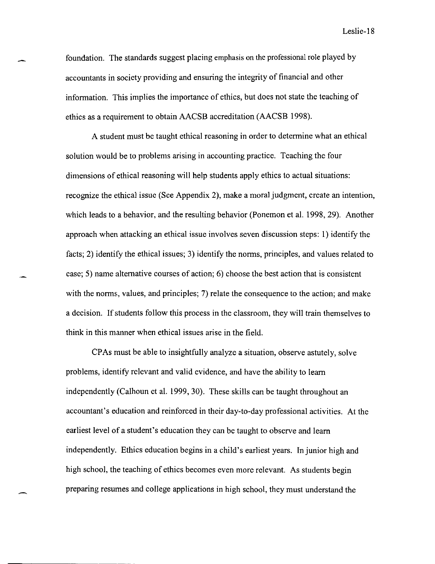foundation. The standards suggest placing emphasis on the professional role played by accountants in society providing and ensuring the integrity of financial and other information. This implies the importance of ethics, but does not state the teaching of ethics as a requirement to obtain AACSB accreditation (AACSB 1998).

A student must be taught ethical reasoning in order to determine what an ethical solution would be to problems arising in accounting practice. Teaching the four dimensions of ethical reasoning will help students apply ethics to actual situations: recognize the ethical issue (See Appendix 2), make a moral judgment, create an intention, which leads to a behavior, and the resulting behavior (Ponemon et al. 1998, 29). Another approach when attacking an ethical issue involves seven discussion steps: 1) identify the facts; 2) identify the ethical issues; 3) identify the norms, principles, and values related to case; 5) name alternative courses of action; 6) choose the best action that is consistent with the norms, values, and principles; 7) relate the consequence to the action; and make a decision. If students follow this process in the classroom, they will train themselves to think in this manner when ethical issues arise in the field.

CP As must be able to insightfully analyze a situation, observe astutely, solve problems, identify relevant and valid evidence, and have the ability to learn independently (Calhoun et al. 1999,30). These skills can be taught throughout an accountant's education and reinforced in their day-to-day professional activities. At the earliest level of a student's education they can be taught to observe and learn independently. Ethics education begins in a child's earliest years. In junior high and high school, the teaching of ethics becomes even more relevant. As students begin preparing resumes and college applications in high school, they must understand the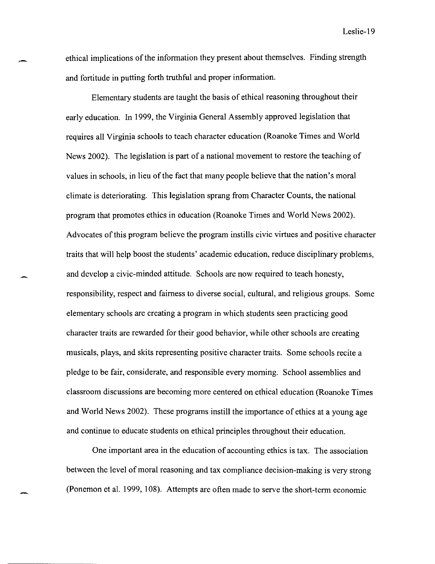ethical implications of the information they present about themselves. Finding strength and fortitude in putting forth truthful and proper information.

-

Elementary students are taught the basis of ethical reasoning throughout their early education. In 1999, the Virginia General Assembly approved legislation that requires all Virginia schools to teach character education (Roanoke Times and World News 2002). The legislation is part of a national movement to restore the teaching of values in schools, in lieu of the fact that many people believe that the nation's moral climate is deteriorating. This legislation sprang from Character Counts, the national program that promotes ethics in education (Roanoke Times and World News 2002). Advocates of this program believe the program instills civic virtues and positive character traits that will help boost the students' academic education, reduce disciplinary problems, and develop a civic-minded attitude. Schools are now required to teach honesty, responsibility, respect and fairness to diverse social, cultural, and religious groups. Some elementary schools are creating a program in which students seen practicing good character traits are rewarded for their good behavior, while other schools are creating musicals, plays, and skits representing positive character traits. Some schools recite a pledge to be fair, considerate, and responsible every morning. School assemblies and classroom discussions are becoming more centered on ethical education (Roanoke Times and World News 2002). These programs instill the importance of ethics at a young age and continue to educate students on ethical principles throughout their education.

One important area in the education of accounting ethics is tax. The association between the level of moral reasoning and tax compliance decision-making is very strong (Ponemon et al. 1999, 108). Attempts are often made to serve the short-term economic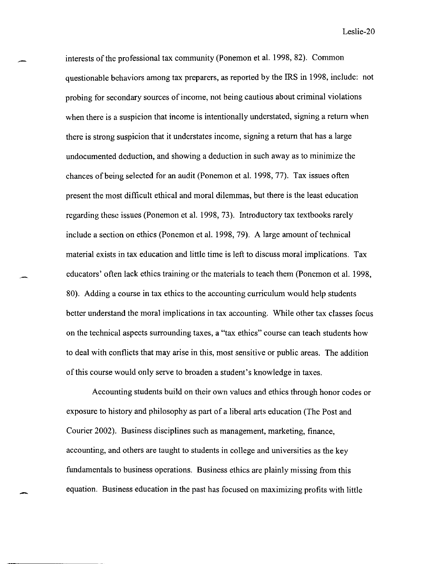interests of the professional tax community (Ponemon et al. 1998, 82). Common questionable behaviors among tax preparers, as reported by the IRS in 1998, include: not probing for secondary sources of income, not being cautious about criminal violations when there is a suspicion that income is intentionally understated, signing a return when there is strong suspicion that it understates income, signing a return that has a large undocumented deduction, and showing a deduction in such away as to minimize the chances of being selected for an audit (Ponemon et al. 1998,77). Tax issues often present the most difficult ethical and moral dilemmas, but there is the least education regarding these issues (Ponemon et al. 1998, 73). Introductory tax textbooks rarely include a section on ethics (Ponemon et al. 1998,79). A large amount of technical material exists in tax education and little time is left to discuss moral implications. Tax educators' often lack ethics training or the materials to teach them (Ponemon et al. 1998, 80). Adding a course in tax ethics to the accounting curriculum would help students better understand the moral implications in tax accounting. While other tax classes focus on the technical aspects surrounding taxes, a "tax ethics" course can teach students how to deal with conflicts that may arise in this, most sensitive or public areas. The addition of this course would only serve to broaden a student's knowledge in taxes.

Accounting students build on their own values and ethics through honor codes or exposure to history and philosophy as part of a liberal arts education (The Post and Courier 2002). Business disciplines such as management, marketing, finance, accounting, and others are taught to students in college and universities as the key fundamentals to business operations. Business ethics are plainly missing from this equation. Business education in the past has focused on maximizing profits with little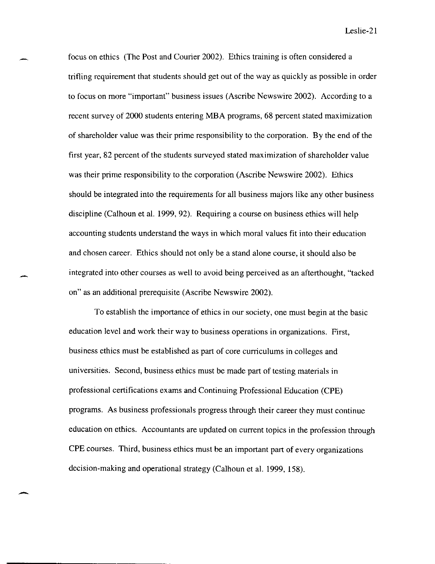focus on ethics (The Post and Courier 2002). Ethics training is often considered a trifling requirement that students should get out of the way as quickly as possible in order to focus on more "important" business issues (Ascribe Newswire 2002). According to a recent survey of 2000 students entering MBA programs, 68 percent stated maximization of shareholder value was their prime responsibility to the corporation. By the end of the first year, 82 percent of the students surveyed stated maximization of shareholder value was their prime responsibility to the corporation (Ascribe Newswire 2002). Ethics should be integrated into the requirements for all business majors like any other business discipline (Calhoun et al. 1999,92). Requiring a course on business ethics will help accounting students understand the ways in which moral values fit into their education and chosen career. Ethics should not only be a stand alone course, it should also be integrated into other courses as well to avoid being perceived as an afterthought, "tacked on" as an additional prerequisite (Ascribe Newswire 2002).

To establish the importance of ethics in our society, one must begin at the basic education level and work their way to business operations in organizations. First, business ethics must be established as part of core curriculums in colleges and universities. Second, business ethics must be made part of testing materials in professional certifications exams and Continuing Professional Education (CPE) programs. As business professionals progress through their career they must continue education on ethics. Accountants are updated on current topics in the profession through CPE courses. Third, business ethics must be an important part of every organizations decision-making and operational strategy (Calhoun et al. 1999, 158).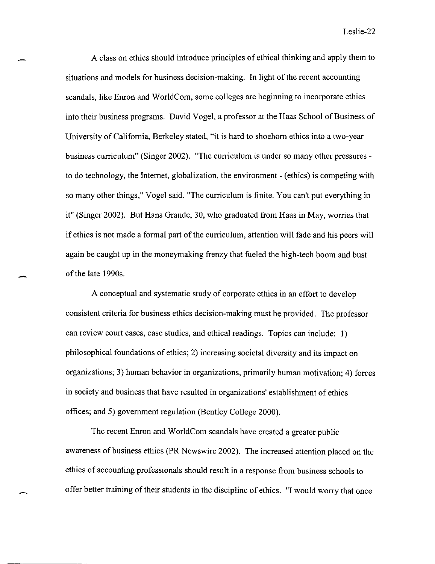A class on ethics should introduce principles of ethical thinking and apply them to situations and models for business decision-making. In light of the recent accounting scandals, like Enron and WorldCom, some colleges are beginning to incorporate ethics into their business programs. David Vogel, a professor at the Haas School of Business of University of California, Berkeley stated, "it is hard to shoehorn ethics into a two-year business curriculum" (Singer 2002). "The curriculum is under so many other pressures to do technology, the Internet, globalization, the environment - (ethics) is competing with so many other things," Vogel said. "The curriculum is finite. You can't put everything in it" (Singer 2002). But Hans Grande, 30, who graduated from Haas in May, worries that if ethics is not made a formal part of the curriculum, attention will fade and his peers will again be caught up in the moneymaking frenzy that fueled the high-tech boom and bust of the late 1990s.

A conceptual and systematic study of corporate ethics in an effort to develop consistent criteria for business ethics decision-making must be provided. The professor can review court cases, case studies, and ethical readings. Topics can include: I) philosophical foundations of ethics; 2) increasing societal diversity and its impact on organizations; 3) human behavior in organizations, primarily human motivation; 4) forces in society and business that have resulted in organizations' establishment of ethics offices; and 5) government regulation (Bentley College 2000).

-

The recent Enron and WorldCom scandals have created a greater public awareness of business ethics (PR Newswire 2002). The increased attention placed on the ethics of accounting professionals should result in a response from business schools to offer better training of their students in the discipline of ethics. "I would worry that once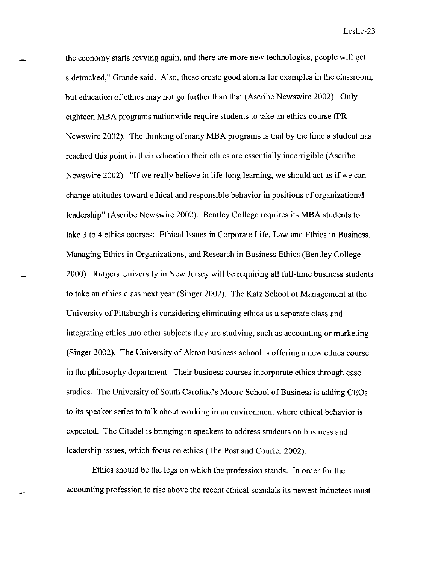the economy starts revving again, and there are more new technologies, people will get sidetracked," Grande said. Also, these create good stories for examples in the classroom, but education of ethics may not go further than that (Ascribe Newswire 2002). Only eighteen MBA programs nationwide require students to take an ethics course (PR Newswire 2002). The thinking of many MBA programs is that by the time a student has reached this point in their education their ethics are essentially incorrigible (Ascribe Newswire 2002). "If we really believe in life-long learning, we should act as if we can change attitudes toward ethical and responsible behavior in positions of organizational leadership" (Ascribe Newswire 2002). Bentley College requires its MBA students to take 3 to 4 ethics courses: Ethical Issues in Corporate Life, Law and Ethics in Business, Managing Ethics in Organizations, and Research in Business Ethics (Bentley College 2000). Rutgers University in New Jersey will be requiring all full-time business students to take an ethics class next year (Singer 2002). The Katz School of Management at the University of Pittsburgh is considering eliminating ethics as a separate class and integrating ethics into other subjects they are studying, such as accounting or marketing (Singer 2002). The University of Akron business school is offering a new ethics course in the philosophy department. Their business courses incorporate ethics through case studies. The University of South Carolina's Moore School of Business is adding CEOs to its speaker series to talk about working in an environment where ethical behavior is expected. The Citadel is bringing in speakers to address students on business and leadership issues, which focus on ethics (The Post and Courier 2002).

Ethics should be the legs on which the profession stands. In order for the accounting profession to rise above the recent ethical scandals its newest inductees must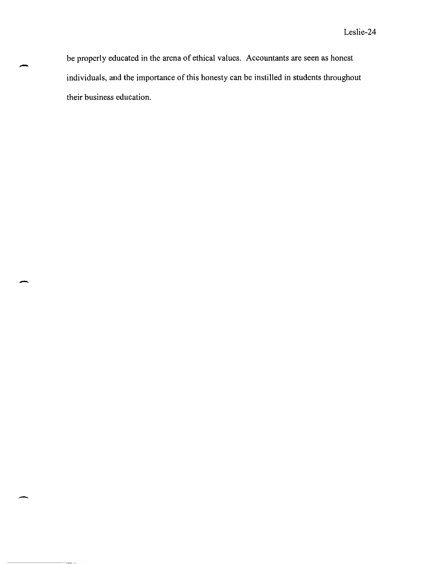be properly educated in the arena of ethical values. Accountants are seen as honest individuals, and the importance of this honesty can be instilled in students throughout their business education.

-

-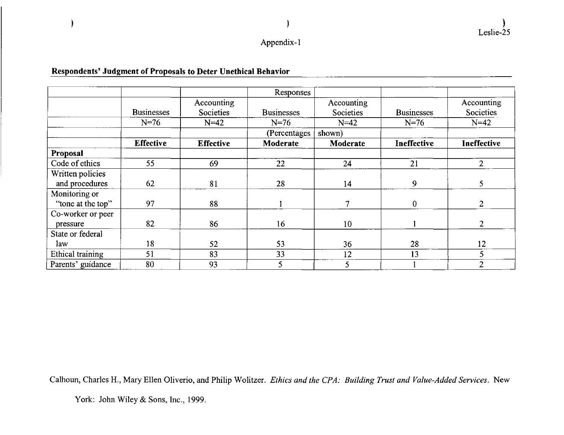## Appendix-l

## **Respondents' Judgment of Proposals to Deter Unethical Behavior**

|                   |                   |                         | Responses         |                         |                   |                         |
|-------------------|-------------------|-------------------------|-------------------|-------------------------|-------------------|-------------------------|
|                   | <b>Businesses</b> | Accounting<br>Societies | <b>Businesses</b> | Accounting<br>Societies | <b>Businesses</b> | Accounting<br>Societies |
|                   | $N=76$            | $N = 42$                | $N=76$            | $N=42$                  | $N=76$            | $N=42$                  |
|                   |                   |                         | (Percentages      | shown)                  |                   |                         |
|                   | <b>Effective</b>  | <b>Effective</b>        | Moderate          | Moderate                | Ineffective       | Ineffective             |
| Proposal          |                   |                         |                   |                         |                   |                         |
| Code of ethics    | 55                | 69                      | 22                | 24                      | 21                | $\overline{2}$          |
| Written policies  |                   |                         |                   |                         |                   |                         |
| and procedures    | 62                | 81                      | 28                | 14                      | 9                 | 5                       |
| Monitoring or     |                   |                         |                   |                         |                   |                         |
| "tone at the top" | 97                | 88                      |                   | 7                       | $\overline{0}$    | $\overline{2}$          |
| Co-worker or peer |                   |                         |                   |                         |                   |                         |
| pressure          | 82                | 86                      | 16                | 10                      |                   | $\overline{2}$          |
| State or federal  |                   |                         |                   |                         |                   |                         |
| law               | 18                | 52                      | 53                | 36                      | 28                | 12                      |
| Ethical training  | 51                | 83                      | 33                | 12                      | 13                | 5                       |
| Parents' guidance | 80                | 93                      | 5                 | 5                       |                   | $\overline{2}$          |

Calhoun, Charles H., Mary Ellen Oliverio, and Philip Wolitzer. *Ethics and the CPA: Building Trust and Value-Added Services.* New

York: John Wiley & Sons, Inc., 1999.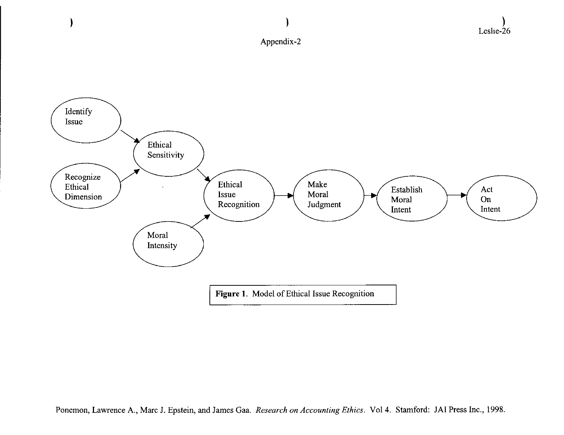

)

)

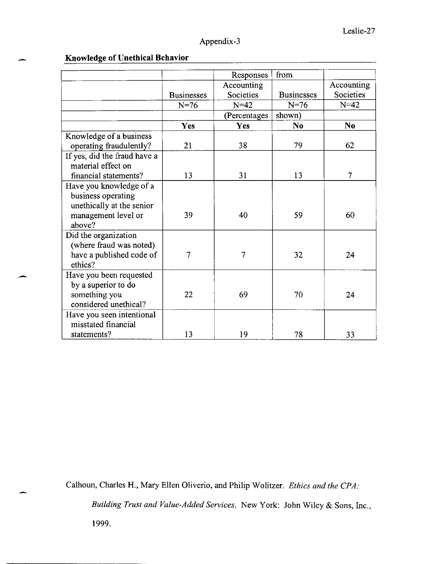# **Knowledge** of Unethical **Behavior**

|                              |                   | Responses    | from              |                |
|------------------------------|-------------------|--------------|-------------------|----------------|
|                              |                   | Accounting   |                   | Accounting     |
|                              | <b>Businesses</b> | Societies    | <b>Businesses</b> | Societies      |
|                              | $N=76$            | $N=42$       | $N=76$            | $N=42$         |
|                              |                   | (Percentages | shown)            |                |
|                              | Yes               | Yes          | N <sub>0</sub>    | N <sub>0</sub> |
| Knowledge of a business      |                   |              |                   |                |
| operating fraudulently?      | 21                | 38           | 79                | 62             |
| If yes, did the fraud have a |                   |              |                   |                |
| material effect on           |                   |              |                   |                |
| financial statements?        | 13                | 31           | 13                | $\overline{7}$ |
| Have you knowledge of a      |                   |              |                   |                |
| business operating           |                   |              |                   |                |
| unethically at the senior    |                   |              |                   |                |
| management level or          | 39                | 40           | 59                | 60             |
| above?                       |                   |              |                   |                |
| Did the organization         |                   |              |                   |                |
| (where fraud was noted)      |                   |              |                   |                |
| have a published code of     | $\overline{7}$    | 7            | 32                | 24             |
| ethics?                      |                   |              |                   |                |
| Have you been requested      |                   |              |                   |                |
| by a superior to do          |                   |              |                   |                |
| something you                | 22                | 69           | 70                | 24             |
| considered unethical?        |                   |              |                   |                |
| Have you seen intentional    |                   |              |                   |                |
| misstated financial          |                   |              |                   |                |
| statements?                  | 13                | 19           | 78                | 33             |

Calhoun, Charles H., Mary Ellen Oliverio, and Philip Wolitzer. *Ethics and the CPA:* 

*Building Trust and Value-Added Services.* New York: John Wiley & Sons, Inc.,

1999.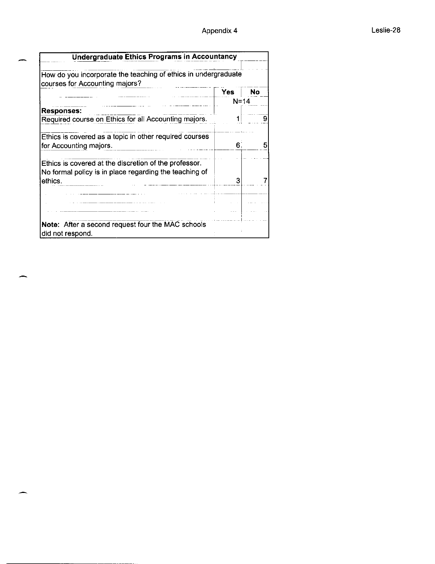| <b>Undergraduate Ethics Programs in Accountancy</b>                                                                        |            |           |
|----------------------------------------------------------------------------------------------------------------------------|------------|-----------|
| How do you incorporate the teaching of ethics in undergraduate<br>courses for Accounting majors?                           |            |           |
|                                                                                                                            | <b>Yes</b> | <b>No</b> |
|                                                                                                                            | $N = 14$   |           |
| <b>Responses:</b>                                                                                                          |            |           |
| Required course on Ethics for all Accounting majors.                                                                       |            |           |
| Ethics is covered as a topic in other required courses<br>for Accounting majors.                                           | 6.         | 5         |
| Ethics is covered at the discretion of the professor.<br>No formal policy is in place regarding the teaching of<br>ethics. | 3          |           |
|                                                                                                                            |            |           |
|                                                                                                                            |            |           |
| Note: After a second request four the MAC schools<br>did not respond.                                                      |            |           |

 $\overline{a}$ 

للعبر

حسر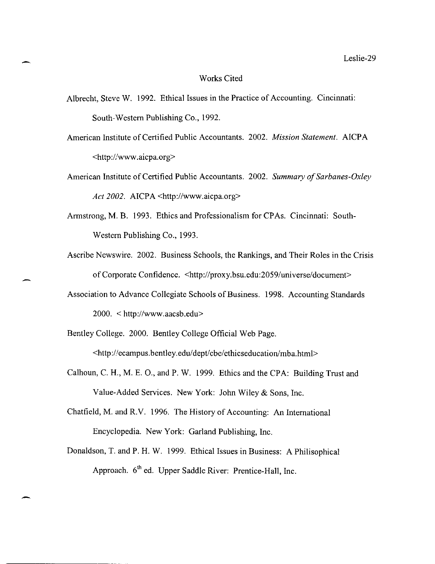#### Works Cited

- Albrecht, Steve W. 1992. Ethical Issues in the Practice of Accounting. Cincinnati: South-Western Publishing Co., 1992.
- American Institute of Certified Public Accountants. 2002. *Mission Statement.* AICP A <http://www.aicpa.org>
- American Institute of Certified Public Accountants. 2002. *Summary of Sarbanes-Oxley*  Act 2002. AICPA <http://www.aicpa.org>
- Armstrong, M. B. 1993. Ethics and Professionalism for CPAs. Cincinnati: South-Western Publishing Co., 1993.
- Ascribe Newswire. 2002. Business Schools, the Rankings, and Their Roles in the Crisis of Corporate Confidence. *<http://proxy.bsu.edu:2059/universe/document>*
- Association to Advance Collegiate Schools of Business. 1998. Accounting Standards 2000. < http://www.aacsb.edu>
- Bentley College. 2000. Bentley College Official Web Page.

<http://ecampus.bentley.edu/dept/cbe/ethicseducation/mba.html>

- Calhoun, C. H., M. E. 0., and P. W. 1999. Ethics and the CPA: Building Trust and Value-Added Services. New York: John Wiley & Sons, Inc.
- Chatfield, M. and R.V. 1996. The History of Accounting: An International Encyclopedia. New York: Garland Publishing, Inc.
- Donaldson, T. and P. H. W. 1999. Ethical Issues in Business: A Philisophica1 Approach. 6<sup>th</sup> ed. Upper Saddle River: Prentice-Hall, Inc.